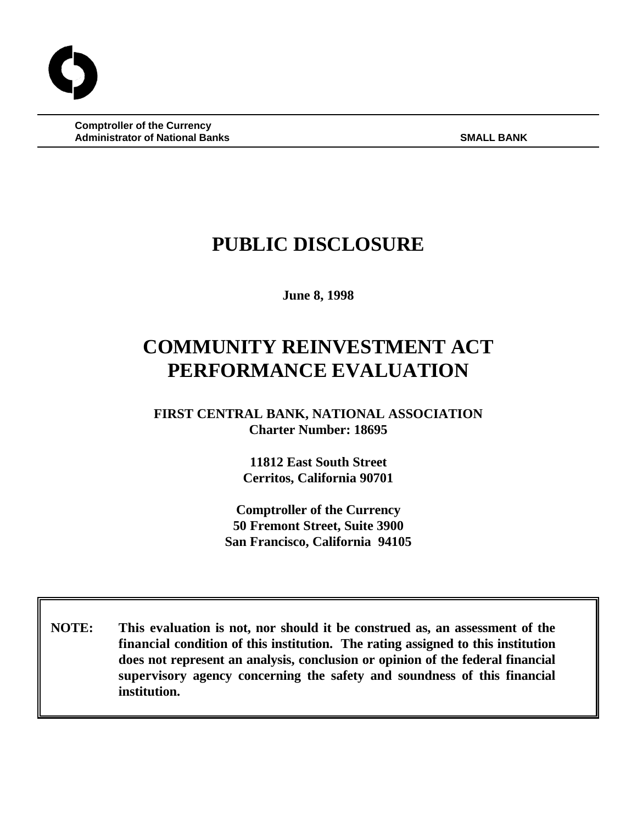**Comptroller of the Currency Administrator of National Banks SMALL BANK** SMALL BANK

# **PUBLIC DISCLOSURE**

**June 8, 1998**

# **COMMUNITY REINVESTMENT ACT PERFORMANCE EVALUATION**

**FIRST CENTRAL BANK, NATIONAL ASSOCIATION Charter Number: 18695**

> **11812 East South Street Cerritos, California 90701**

**Comptroller of the Currency 50 Fremont Street, Suite 3900 San Francisco, California 94105**

 **NOTE: This evaluation is not, nor should it be construed as, an assessment of the financial condition of this institution. The rating assigned to this institution does not represent an analysis, conclusion or opinion of the federal financial supervisory agency concerning the safety and soundness of this financial institution.**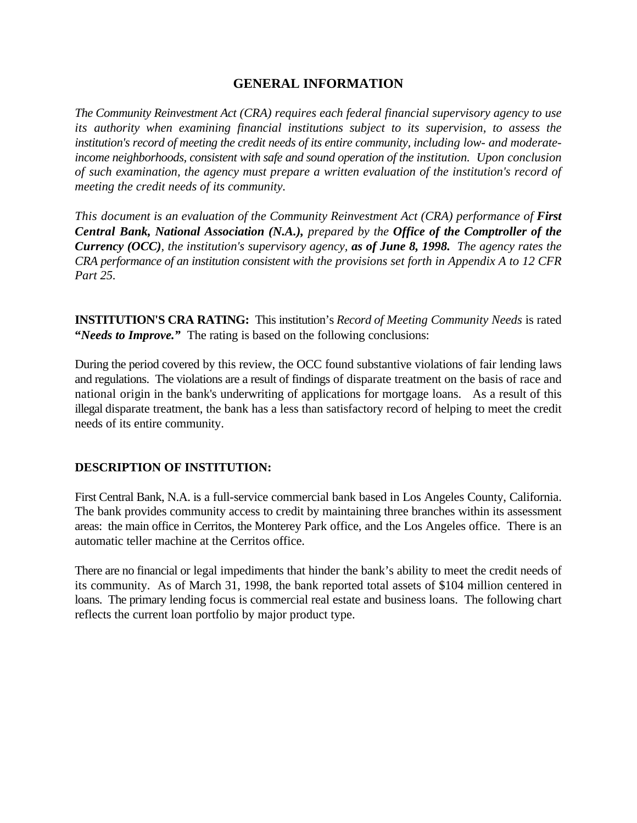# **GENERAL INFORMATION**

*The Community Reinvestment Act (CRA) requires each federal financial supervisory agency to use its authority when examining financial institutions subject to its supervision, to assess the institution's record of meeting the credit needs of its entire community, including low- and moderateincome neighborhoods, consistent with safe and sound operation of the institution. Upon conclusion of such examination, the agency must prepare a written evaluation of the institution's record of meeting the credit needs of its community.* 

*This document is an evaluation of the Community Reinvestment Act (CRA) performance of First Central Bank, National Association (N.A.), prepared by the Office of the Comptroller of the Currency (OCC), the institution's supervisory agency, as of June 8, 1998. The agency rates the CRA performance of an institution consistent with the provisions set forth in Appendix A to 12 CFR Part 25.*

**INSTITUTION'S CRA RATING:** This institution's *Record of Meeting Community Needs* is rated **"***Needs to Improve."* The rating is based on the following conclusions:

During the period covered by this review, the OCC found substantive violations of fair lending laws and regulations. The violations are a result of findings of disparate treatment on the basis of race and national origin in the bank's underwriting of applications for mortgage loans. As a result of this illegal disparate treatment, the bank has a less than satisfactory record of helping to meet the credit needs of its entire community.

# **DESCRIPTION OF INSTITUTION:**

First Central Bank, N.A. is a full-service commercial bank based in Los Angeles County, California. The bank provides community access to credit by maintaining three branches within its assessment areas: the main office in Cerritos, the Monterey Park office, and the Los Angeles office. There is an automatic teller machine at the Cerritos office.

There are no financial or legal impediments that hinder the bank's ability to meet the credit needs of its community. As of March 31, 1998, the bank reported total assets of \$104 million centered in loans. The primary lending focus is commercial real estate and business loans. The following chart reflects the current loan portfolio by major product type.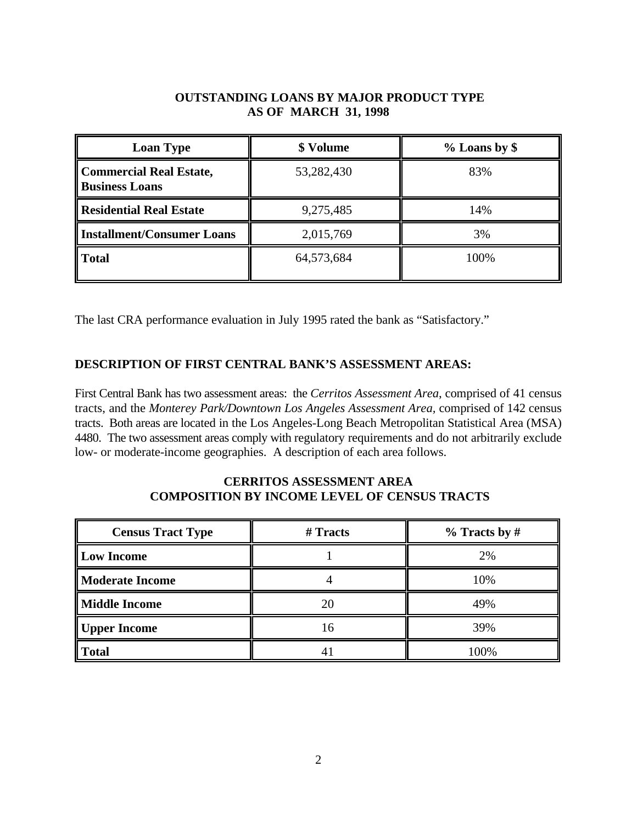# **OUTSTANDING LOANS BY MAJOR PRODUCT TYPE AS OF MARCH 31, 1998**

| <b>Loan Type</b>                                 | \$ Volume  | $%$ Loans by \$ |  |
|--------------------------------------------------|------------|-----------------|--|
| Commercial Real Estate,<br><b>Business Loans</b> | 53,282,430 | 83%             |  |
| <b>Residential Real Estate</b>                   | 9,275,485  | 14%             |  |
| <b>Installment/Consumer Loans</b>                | 2,015,769  | 3%              |  |
| <b>Total</b>                                     | 64,573,684 | 100%            |  |

The last CRA performance evaluation in July 1995 rated the bank as "Satisfactory."

# **DESCRIPTION OF FIRST CENTRAL BANK'S ASSESSMENT AREAS:**

First Central Bank has two assessment areas: the *Cerritos Assessment Area*, comprised of 41 census tracts, and the *Monterey Park/Downtown Los Angeles Assessment Area,* comprised of 142 census tracts. Both areas are located in the Los Angeles-Long Beach Metropolitan Statistical Area (MSA) 4480. The two assessment areas comply with regulatory requirements and do not arbitrarily exclude low- or moderate-income geographies. A description of each area follows.

### **CERRITOS ASSESSMENT AREA COMPOSITION BY INCOME LEVEL OF CENSUS TRACTS**

| <b>Census Tract Type</b> | # Tracts | $%$ Tracts by # |  |
|--------------------------|----------|-----------------|--|
| Low Income               |          | 2%              |  |
| <b>Moderate Income</b>   |          | 10%             |  |
| <b>Middle Income</b>     | 20       | 49%             |  |
| Upper Income             | 16       | 39%             |  |
| <b>Total</b>             |          | 100%            |  |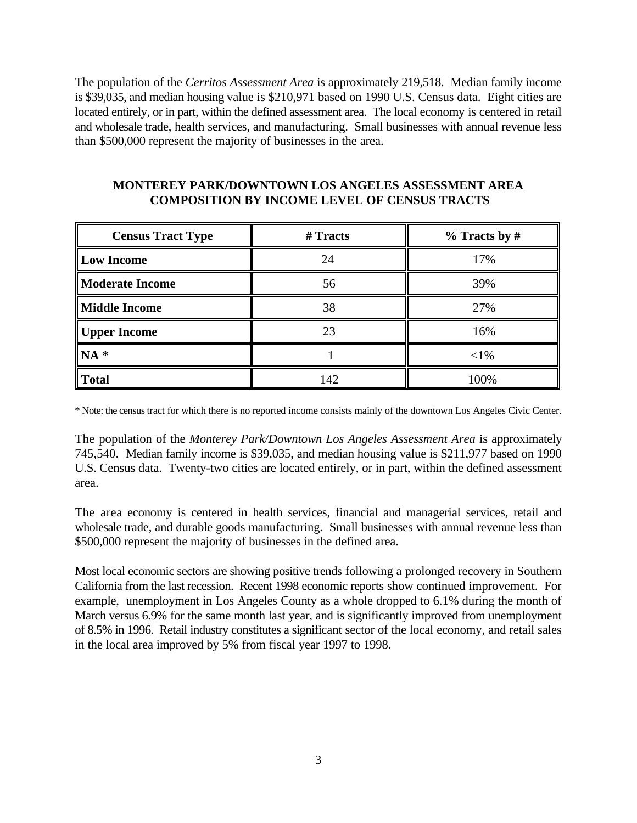The population of the *Cerritos Assessment Area* is approximately 219,518. Median family income is \$39,035, and median housing value is \$210,971 based on 1990 U.S. Census data. Eight cities are located entirely, or in part, within the defined assessment area. The local economy is centered in retail and wholesale trade, health services, and manufacturing. Small businesses with annual revenue less than \$500,000 represent the majority of businesses in the area.

| <b>Census Tract Type</b> | # Tracts | $%$ Tracts by # |  |
|--------------------------|----------|-----------------|--|
| <b>Low Income</b>        | 24       | 17%             |  |
| <b>Moderate Income</b>   | 56       | 39%             |  |
| <b>Middle Income</b>     | 38       | 27%             |  |
| Upper Income             | 23       | 16%             |  |
| $NA*$                    |          | $<$ 1%          |  |
| Total                    | 142      | 100%            |  |

#### **MONTEREY PARK/DOWNTOWN LOS ANGELES ASSESSMENT AREA COMPOSITION BY INCOME LEVEL OF CENSUS TRACTS**

\* Note: the census tract for which there is no reported income consists mainly of the downtown Los Angeles Civic Center.

The population of the *Monterey Park/Downtown Los Angeles Assessment Area* is approximately 745,540. Median family income is \$39,035, and median housing value is \$211,977 based on 1990 U.S. Census data. Twenty-two cities are located entirely, or in part, within the defined assessment area.

The area economy is centered in health services, financial and managerial services, retail and wholesale trade, and durable goods manufacturing. Small businesses with annual revenue less than \$500,000 represent the majority of businesses in the defined area.

Most local economic sectors are showing positive trends following a prolonged recovery in Southern California from the last recession. Recent 1998 economic reports show continued improvement. For example, unemployment in Los Angeles County as a whole dropped to 6.1% during the month of March versus 6.9% for the same month last year, and is significantly improved from unemployment of 8.5% in 1996. Retail industry constitutes a significant sector of the local economy, and retail sales in the local area improved by 5% from fiscal year 1997 to 1998.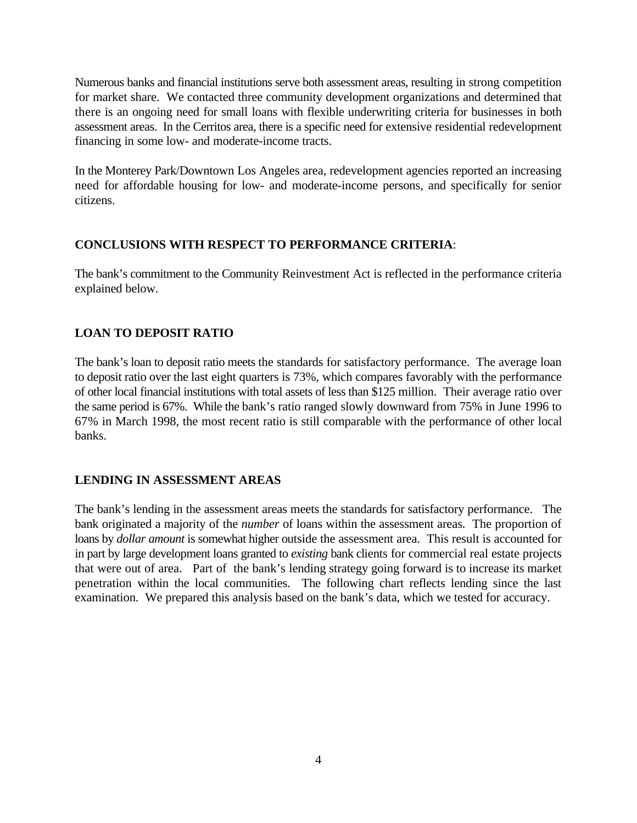Numerous banks and financial institutions serve both assessment areas, resulting in strong competition for market share. We contacted three community development organizations and determined that there is an ongoing need for small loans with flexible underwriting criteria for businesses in both assessment areas. In the Cerritos area, there is a specific need for extensive residential redevelopment financing in some low- and moderate-income tracts.

In the Monterey Park/Downtown Los Angeles area, redevelopment agencies reported an increasing need for affordable housing for low- and moderate-income persons, and specifically for senior citizens.

#### **CONCLUSIONS WITH RESPECT TO PERFORMANCE CRITERIA**:

The bank's commitment to the Community Reinvestment Act is reflected in the performance criteria explained below.

# **LOAN TO DEPOSIT RATIO**

The bank's loan to deposit ratio meets the standards for satisfactory performance. The average loan to deposit ratio over the last eight quarters is 73%, which compares favorably with the performance of other local financial institutions with total assets of less than \$125 million. Their average ratio over the same period is 67%. While the bank's ratio ranged slowly downward from 75% in June 1996 to 67% in March 1998, the most recent ratio is still comparable with the performance of other local banks.

# **LENDING IN ASSESSMENT AREAS**

The bank's lending in the assessment areas meets the standards for satisfactory performance. The bank originated a majority of the *number* of loans within the assessment areas. The proportion of loans by *dollar amount* is somewhat higher outside the assessment area. This result is accounted for in part by large development loans granted to *existing* bank clients for commercial real estate projects that were out of area. Part of the bank's lending strategy going forward is to increase its market penetration within the local communities. The following chart reflects lending since the last examination. We prepared this analysis based on the bank's data, which we tested for accuracy.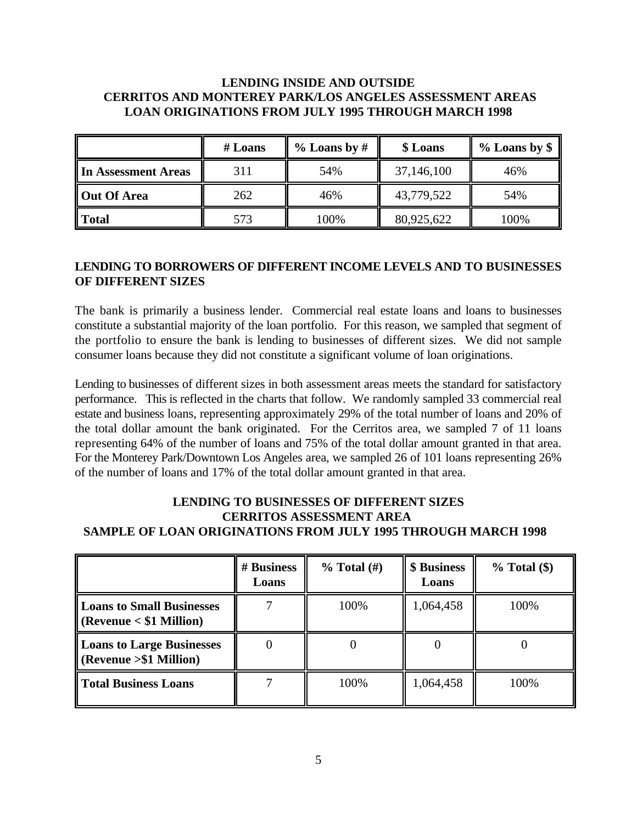# **LENDING INSIDE AND OUTSIDE CERRITOS AND MONTEREY PARK/LOS ANGELES ASSESSMENT AREAS LOAN ORIGINATIONS FROM JULY 1995 THROUGH MARCH 1998**

|                     | $#$ Loans | $%$ Loans by # | \$ Loans   | $%$ Loans by \$ |
|---------------------|-----------|----------------|------------|-----------------|
| In Assessment Areas | 311       | 54%            | 37,146,100 | 46%             |
| <b>Out Of Area</b>  | 262       | 46%            | 43,779,522 | 54%             |
| <b>Total</b>        | 573       | 100%           | 80,925,622 | 100%            |

### **LENDING TO BORROWERS OF DIFFERENT INCOME LEVELS AND TO BUSINESSES OF DIFFERENT SIZES**

The bank is primarily a business lender. Commercial real estate loans and loans to businesses constitute a substantial majority of the loan portfolio. For this reason, we sampled that segment of the portfolio to ensure the bank is lending to businesses of different sizes. We did not sample consumer loans because they did not constitute a significant volume of loan originations.

Lending to businesses of different sizes in both assessment areas meets the standard for satisfactory performance. This is reflected in the charts that follow. We randomly sampled 33 commercial real estate and business loans, representing approximately 29% of the total number of loans and 20% of the total dollar amount the bank originated. For the Cerritos area, we sampled 7 of 11 loans representing 64% of the number of loans and 75% of the total dollar amount granted in that area. For the Monterey Park/Downtown Los Angeles area, we sampled 26 of 101 loans representing 26% of the number of loans and 17% of the total dollar amount granted in that area.

# **LENDING TO BUSINESSES OF DIFFERENT SIZES CERRITOS ASSESSMENT AREA SAMPLE OF LOAN ORIGINATIONS FROM JULY 1995 THROUGH MARCH 1998**

|                                                                                  | # Business<br>Loans | $%$ Total $(\#)$ | \$ Business<br>Loans | $%$ Total $$)$ |
|----------------------------------------------------------------------------------|---------------------|------------------|----------------------|----------------|
| <b>Loans to Small Businesses</b><br>$\sqrt{\text{Revenue}} < $1 \text{ Million}$ |                     | 100%             | 1,064,458            | 100%           |
| <b>Loans to Large Businesses</b><br>$(Revenue > $1$ Million)                     |                     |                  |                      |                |
| <b>Total Business Loans</b>                                                      |                     | 100%             | 1,064,458            | 100%           |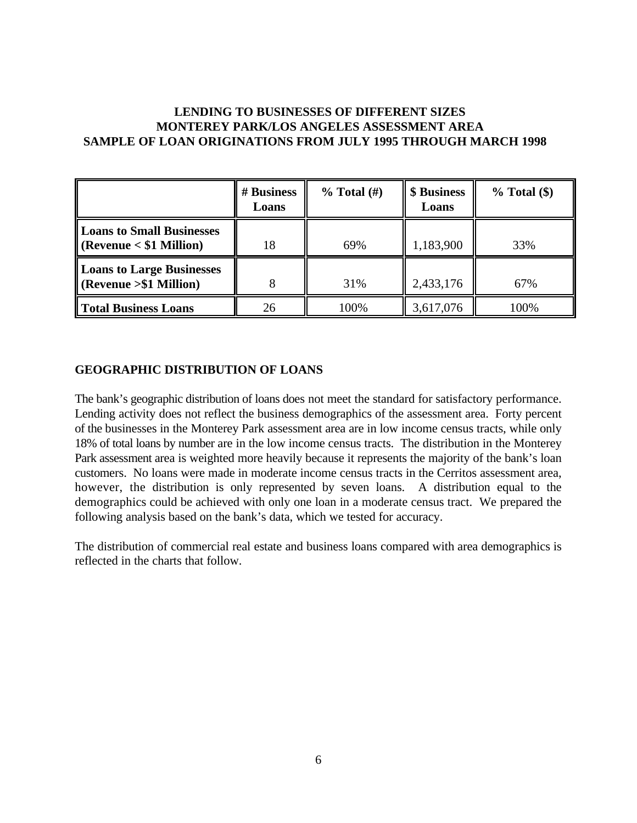#### **LENDING TO BUSINESSES OF DIFFERENT SIZES MONTEREY PARK/LOS ANGELES ASSESSMENT AREA SAMPLE OF LOAN ORIGINATIONS FROM JULY 1995 THROUGH MARCH 1998**

|                                                                            | # Business<br>Loans | $%$ Total $(\#)$ | \$ Business<br>Loans | $%$ Total $$)$ |
|----------------------------------------------------------------------------|---------------------|------------------|----------------------|----------------|
| <b>Loans to Small Businesses</b><br>$\sqrt{\text{Revenue}}$ < \$1 Million) | 18                  | 69%              | 1,183,900            | 33%            |
| <b>Loans to Large Businesses</b><br>$\sim$ (Revenue > \$1 Million)         |                     | 31%              | 2,433,176            | 67%            |
| Total Business Loans                                                       | 26                  | 100%             | 3,617,076            | 100%           |

#### **GEOGRAPHIC DISTRIBUTION OF LOANS**

The bank's geographic distribution of loans does not meet the standard for satisfactory performance. Lending activity does not reflect the business demographics of the assessment area. Forty percent of the businesses in the Monterey Park assessment area are in low income census tracts, while only 18% of total loans by number are in the low income census tracts. The distribution in the Monterey Park assessment area is weighted more heavily because it represents the majority of the bank's loan customers. No loans were made in moderate income census tracts in the Cerritos assessment area, however, the distribution is only represented by seven loans. A distribution equal to the demographics could be achieved with only one loan in a moderate census tract. We prepared the following analysis based on the bank's data, which we tested for accuracy.

The distribution of commercial real estate and business loans compared with area demographics is reflected in the charts that follow.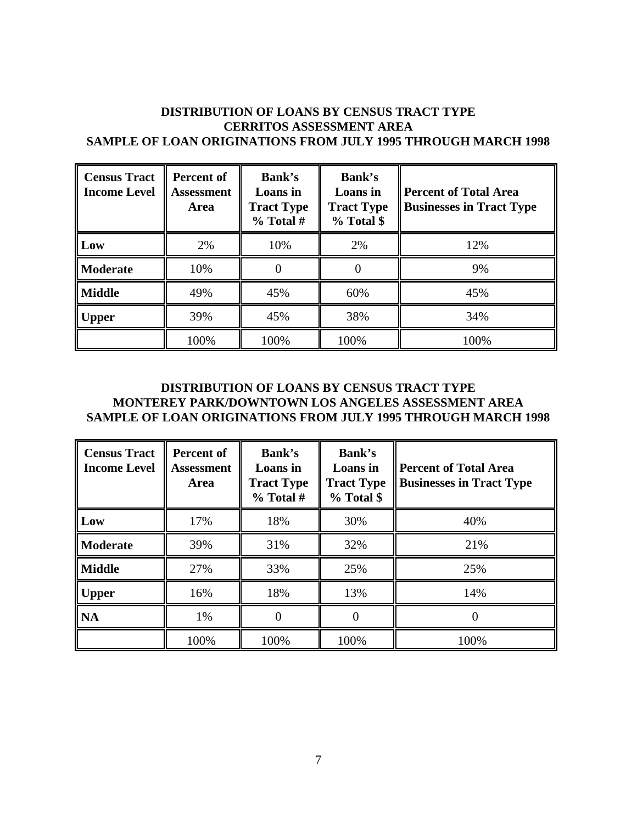#### **DISTRIBUTION OF LOANS BY CENSUS TRACT TYPE CERRITOS ASSESSMENT AREA SAMPLE OF LOAN ORIGINATIONS FROM JULY 1995 THROUGH MARCH 1998**

| <b>Census Tract</b><br><b>Income Level</b> | <b>Percent of</b><br><b>Assessment</b><br>Area | Bank's<br>Loans in<br><b>Tract Type</b><br>$%$ Total # | Bank's<br>Loans in<br><b>Tract Type</b><br>% Total \$ | <b>Percent of Total Area</b><br><b>Businesses in Tract Type</b> |
|--------------------------------------------|------------------------------------------------|--------------------------------------------------------|-------------------------------------------------------|-----------------------------------------------------------------|
| Low                                        | 2%                                             | 10%                                                    | 2%                                                    | 12%                                                             |
| <b>Moderate</b>                            | 10%                                            |                                                        |                                                       | 9%                                                              |
| <b>Middle</b>                              | 49%                                            | 45%                                                    | 60%                                                   | 45%                                                             |
| <b>Upper</b>                               | 39%                                            | 45%                                                    | 38%                                                   | 34%                                                             |
|                                            | 100%                                           | 100%                                                   | 100%                                                  | 100%                                                            |

#### **DISTRIBUTION OF LOANS BY CENSUS TRACT TYPE MONTEREY PARK/DOWNTOWN LOS ANGELES ASSESSMENT AREA SAMPLE OF LOAN ORIGINATIONS FROM JULY 1995 THROUGH MARCH 1998**

| <b>Census Tract</b><br><b>Income Level</b> | Percent of<br><b>Assessment</b><br><b>Area</b> | Bank's<br>Loans in<br><b>Tract Type</b><br>$%$ Total # | Bank's<br>Loans in<br><b>Tract Type</b><br>% Total \$ | <b>Percent of Total Area</b><br><b>Businesses in Tract Type</b> |
|--------------------------------------------|------------------------------------------------|--------------------------------------------------------|-------------------------------------------------------|-----------------------------------------------------------------|
| Low                                        | 17%                                            | 18%                                                    | 30%                                                   | 40%                                                             |
| <b>Moderate</b>                            | 39%                                            | 31%                                                    | 32%                                                   | 21%                                                             |
| <b>Middle</b>                              | 27%                                            | 33%                                                    | 25%                                                   | 25%                                                             |
| <b>Upper</b>                               | 16%                                            | 18%                                                    | 13%                                                   | 14%                                                             |
| <b>NA</b>                                  | 1%                                             |                                                        |                                                       |                                                                 |
|                                            | 100%                                           | 100%                                                   | 100%                                                  | 100%                                                            |